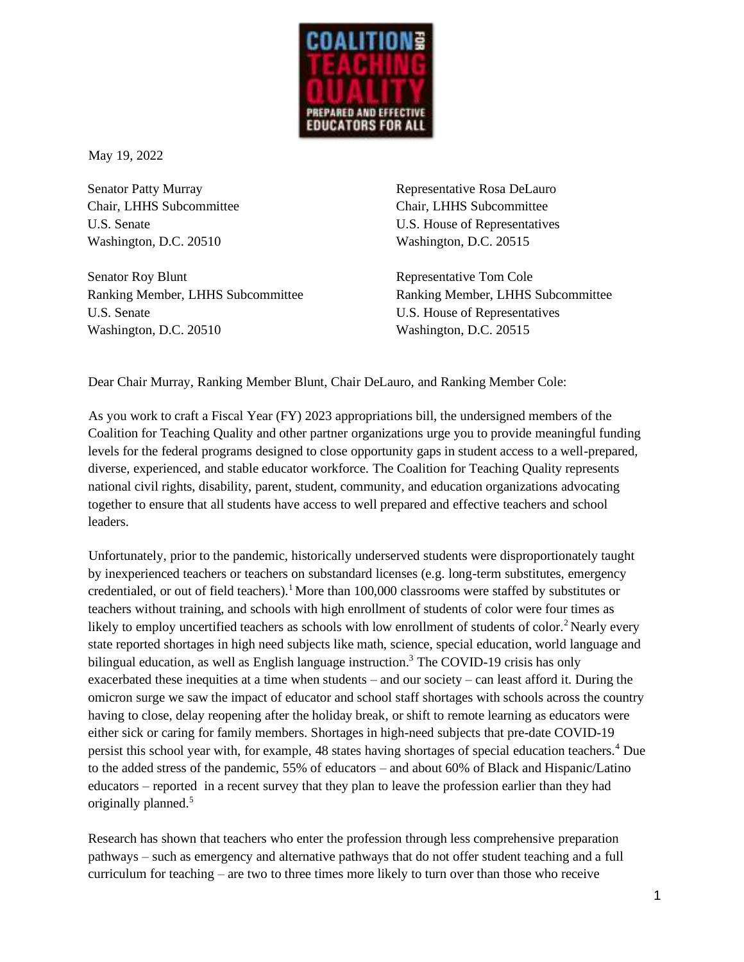

May 19, 2022

Senator Patty Murray Chair, LHHS Subcommittee U.S. Senate Washington, D.C. 20510

Senator Roy Blunt Ranking Member, LHHS Subcommittee U.S. Senate Washington, D.C. 20510

Representative Rosa DeLauro Chair, LHHS Subcommittee U.S. House of Representatives Washington, D.C. 20515

Representative Tom Cole Ranking Member, LHHS Subcommittee U.S. House of Representatives Washington, D.C. 20515

Dear Chair Murray, Ranking Member Blunt, Chair DeLauro, and Ranking Member Cole:

As you work to craft a Fiscal Year (FY) 2023 appropriations bill, the undersigned members of the Coalition for Teaching Quality and other partner organizations urge you to provide meaningful funding levels for the federal programs designed to close opportunity gaps in student access to a well-prepared, diverse, experienced, and stable educator workforce. The Coalition for Teaching Quality represents national civil rights, disability, parent, student, community, and education organizations advocating together to ensure that all students have access to well prepared and effective teachers and school leaders.

Unfortunately, prior to the pandemic, historically underserved students were disproportionately taught by inexperienced teachers or teachers on substandard licenses (e.g. long-term substitutes, emergency credentialed, or out of field teachers).<sup>1</sup> More than 100,000 classrooms were staffed by substitutes or teachers without training, and schools with high enrollment of students of color were four times as likely to employ uncertified teachers as schools with low enrollment of students of color.<sup>2</sup> Nearly every state reported shortages in high need subjects like math, science, special education, world language and bilingual education, as well as English language instruction.<sup>3</sup> The COVID-19 crisis has only exacerbated these inequities at a time when students – and our society – can least afford it. During the omicron surge we saw the impact of educator and school staff shortages with schools across the country having to close, delay reopening after the holiday break, or shift to remote learning as educators were either sick or caring for family members. Shortages in high-need subjects that pre-date COVID-19 persist this school year with, for example, 48 states having shortages of special education teachers.<sup>4</sup> Due to the added stress of the pandemic, 55% of educators – and about 60% of Black and Hispanic/Latino educators – reported in a recent survey that they plan to leave the profession earlier than they had originally planned.<sup>5</sup>

Research has shown that teachers who enter the profession through less comprehensive preparation pathways – such as emergency and alternative pathways that do not offer student teaching and a full curriculum for teaching – are two to three times more likely to turn over than those who receive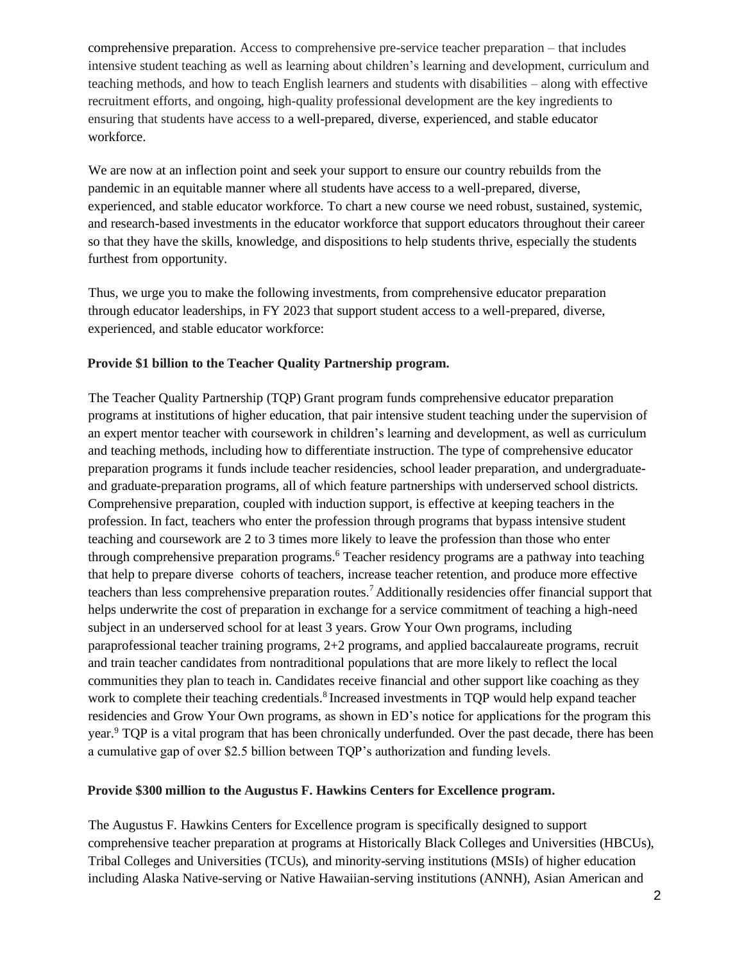comprehensive preparation. Access to comprehensive pre-service teacher preparation – that includes intensive student teaching as well as learning about children's learning and development, curriculum and teaching methods, and how to teach English learners and students with disabilities – along with effective recruitment efforts, and ongoing, high-quality professional development are the key ingredients to ensuring that students have access to a well-prepared, diverse, experienced, and stable educator workforce.

We are now at an inflection point and seek your support to ensure our country rebuilds from the pandemic in an equitable manner where all students have access to a well-prepared, diverse, experienced, and stable educator workforce. To chart a new course we need robust, sustained, systemic, and research-based investments in the educator workforce that support educators throughout their career so that they have the skills, knowledge, and dispositions to help students thrive, especially the students furthest from opportunity.

Thus, we urge you to make the following investments, from comprehensive educator preparation through educator leaderships, in FY 2023 that support student access to a well-prepared, diverse, experienced, and stable educator workforce:

## **Provide \$1 billion to the Teacher Quality Partnership program.**

The Teacher Quality Partnership (TQP) Grant program funds comprehensive educator preparation programs at institutions of higher education, that pair intensive student teaching under the supervision of an expert mentor teacher with coursework in children's learning and development, as well as curriculum and teaching methods, including how to differentiate instruction. The type of comprehensive educator preparation programs it funds include teacher residencies, school leader preparation, and undergraduateand graduate-preparation programs, all of which feature partnerships with underserved school districts. Comprehensive preparation, coupled with induction support, is effective at keeping teachers in the profession. In fact, teachers who enter the profession through programs that bypass intensive student teaching and coursework are 2 to 3 times more likely to leave the profession than those who enter through comprehensive preparation programs.<sup>6</sup> Teacher residency programs are a pathway into teaching that help to prepare diverse cohorts of teachers, increase teacher retention, and produce more effective teachers than less comprehensive preparation routes.<sup>7</sup> Additionally residencies offer financial support that helps underwrite the cost of preparation in exchange for a service commitment of teaching a high-need subject in an underserved school for at least 3 years. Grow Your Own programs, including paraprofessional teacher training programs, 2+2 programs, and applied baccalaureate programs, recruit and train teacher candidates from nontraditional populations that are more likely to reflect the local communities they plan to teach in. Candidates receive financial and other support like coaching as they work to complete their teaching credentials.<sup>8</sup> Increased investments in TQP would help expand teacher residencies and Grow Your Own programs, as shown in ED's notice for applications for the program this year.<sup>9</sup> TQP is a vital program that has been chronically underfunded. Over the past decade, there has been a cumulative gap of over \$2.5 billion between TQP's authorization and funding levels.

#### **Provide \$300 million to the Augustus F. Hawkins Centers for Excellence program.**

The Augustus F. Hawkins Centers for Excellence program is specifically designed to support comprehensive teacher preparation at programs at Historically Black Colleges and Universities (HBCUs), Tribal Colleges and Universities (TCUs), and minority-serving institutions (MSIs) of higher education including Alaska Native-serving or Native Hawaiian-serving institutions (ANNH), Asian American and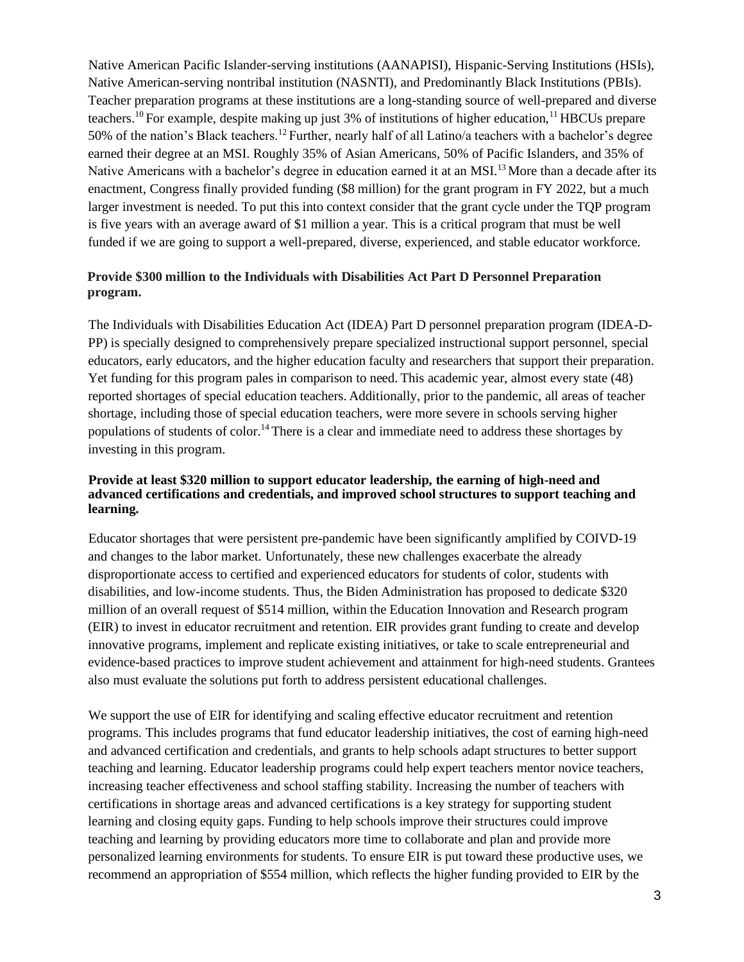Native American Pacific Islander-serving institutions (AANAPISI), Hispanic-Serving Institutions (HSIs), Native American-serving nontribal institution (NASNTI), and Predominantly Black Institutions (PBIs). Teacher preparation programs at these institutions are a long-standing source of well-prepared and diverse teachers.<sup>10</sup> For example, despite making up just 3% of institutions of higher education, <sup>11</sup> HBCUs prepare 50% of the nation's Black teachers.<sup>12</sup> Further, nearly half of all Latino/a teachers with a bachelor's degree earned their degree at an MSI. Roughly 35% of Asian Americans, 50% of Pacific Islanders, and 35% of Native Americans with a bachelor's degree in education earned it at an MSI.<sup>13</sup> More than a decade after its enactment, Congress finally provided funding (\$8 million) for the grant program in FY 2022, but a much larger investment is needed. To put this into context consider that the grant cycle under the TQP program is five years with an average award of \$1 million a year. This is a critical program that must be well funded if we are going to support a well-prepared, diverse, experienced, and stable educator workforce.

# **Provide \$300 million to the Individuals with Disabilities Act Part D Personnel Preparation program.**

The Individuals with Disabilities Education Act (IDEA) Part D personnel preparation program (IDEA-D-PP) is specially designed to comprehensively prepare specialized instructional support personnel, special educators, early educators, and the higher education faculty and researchers that support their preparation. Yet funding for this program pales in comparison to need. This academic year, almost every state (48) reported shortages of special education teachers. Additionally, prior to the pandemic, all areas of teacher shortage, including those of special education teachers, were more severe in schools serving higher populations of students of color.<sup>14</sup> There is a clear and immediate need to address these shortages by investing in this program.

### **Provide at least \$320 million to support educator leadership, the earning of high-need and advanced certifications and credentials, and improved school structures to support teaching and learning.**

Educator shortages that were persistent pre-pandemic have been significantly amplified by COIVD-19 and changes to the labor market. Unfortunately, these new challenges exacerbate the already disproportionate access to certified and experienced educators for students of color, students with disabilities, and low-income students. Thus, the Biden Administration has proposed to dedicate \$320 million of an overall request of \$514 million, within the Education Innovation and Research program (EIR) to invest in educator recruitment and retention. EIR provides grant funding to create and develop innovative programs, implement and replicate existing initiatives, or take to scale entrepreneurial and evidence-based practices to improve student achievement and attainment for high-need students. Grantees also must evaluate the solutions put forth to address persistent educational challenges.

We support the use of EIR for identifying and scaling effective educator recruitment and retention programs. This includes programs that fund educator leadership initiatives, the cost of earning high-need and advanced certification and credentials, and grants to help schools adapt structures to better support teaching and learning. Educator leadership programs could help expert teachers mentor novice teachers, increasing teacher effectiveness and school staffing stability. Increasing the number of teachers with certifications in shortage areas and advanced certifications is a key strategy for supporting student learning and closing equity gaps. Funding to help schools improve their structures could improve teaching and learning by providing educators more time to collaborate and plan and provide more personalized learning environments for students. To ensure EIR is put toward these productive uses, we recommend an appropriation of \$554 million, which reflects the higher funding provided to EIR by the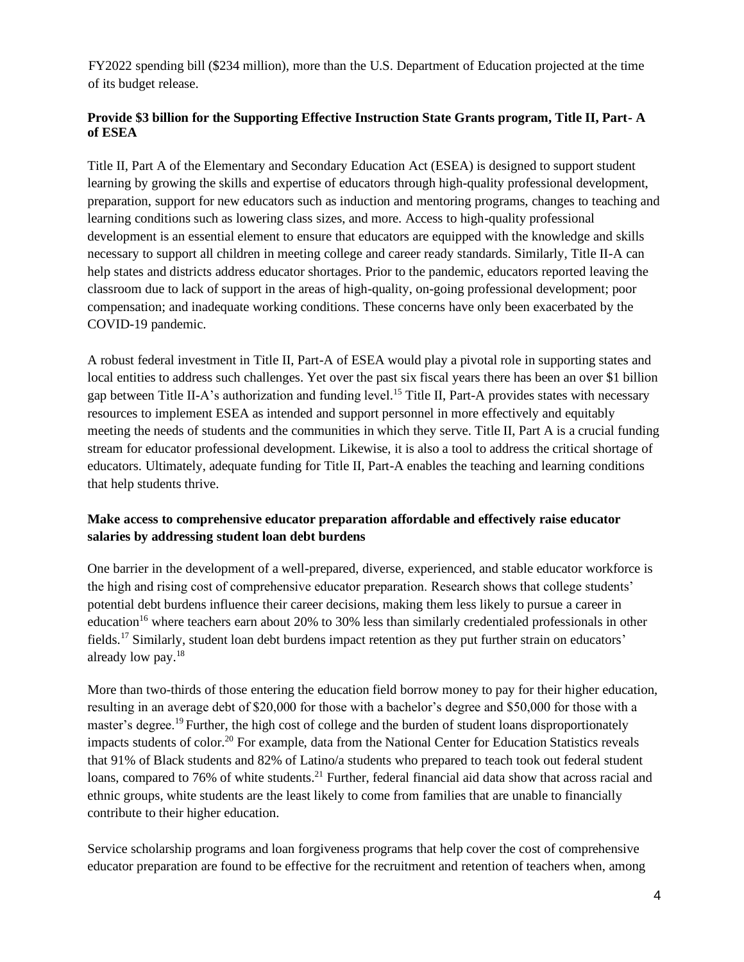FY2022 spending bill (\$234 million), more than the U.S. Department of Education projected at the time of its budget release.

## **Provide \$3 billion for the Supporting Effective Instruction State Grants program, Title II, Part- A of ESEA**

Title II, Part A of the Elementary and Secondary Education Act (ESEA) is designed to support student learning by growing the skills and expertise of educators through high-quality professional development, preparation, support for new educators such as induction and mentoring programs, changes to teaching and learning conditions such as lowering class sizes, and more. Access to high-quality professional development is an essential element to ensure that educators are equipped with the knowledge and skills necessary to support all children in meeting college and career ready standards. Similarly, Title II-A can help states and districts address educator shortages. Prior to the pandemic, educators reported leaving the classroom due to lack of support in the areas of high-quality, on-going professional development; poor compensation; and inadequate working conditions. These concerns have only been exacerbated by the COVID-19 pandemic.

A robust federal investment in Title II, Part-A of ESEA would play a pivotal role in supporting states and local entities to address such challenges. Yet over the past six fiscal years there has been an over \$1 billion gap between Title II-A's authorization and funding level.<sup>15</sup> Title II, Part-A provides states with necessary resources to implement ESEA as intended and support personnel in more effectively and equitably meeting the needs of students and the communities in which they serve. Title II, Part A is a crucial funding stream for educator professional development. Likewise, it is also a tool to address the critical shortage of educators. Ultimately, adequate funding for Title II, Part-A enables the teaching and learning conditions that help students thrive.

# **Make access to comprehensive educator preparation affordable and effectively raise educator salaries by addressing student loan debt burdens**

One barrier in the development of a well-prepared, diverse, experienced, and stable educator workforce is the high and rising cost of comprehensive educator preparation. Research shows that college students' potential debt burdens influence their career decisions, making them less likely to pursue a career in education<sup>16</sup> where teachers earn about 20% to 30% less than similarly credentialed professionals in other fields.<sup>17</sup> Similarly, student loan debt burdens impact retention as they put further strain on educators' already low pay.<sup>18</sup>

More than two-thirds of those entering the education field borrow money to pay for their higher education, resulting in an average debt of \$20,000 for those with a bachelor's degree and \$50,000 for those with a master's degree.<sup>19</sup> Further, the high cost of college and the burden of student loans disproportionately impacts students of color.<sup>20</sup> For example, data from the National Center for Education Statistics reveals that 91% of Black students and 82% of Latino/a students who prepared to teach took out federal student loans, compared to 76% of white students.<sup>21</sup> Further, federal financial aid data show that across racial and ethnic groups, white students are the least likely to come from families that are unable to financially contribute to their higher education.

Service scholarship programs and loan forgiveness programs that help cover the cost of comprehensive educator preparation are found to be effective for the recruitment and retention of teachers when, among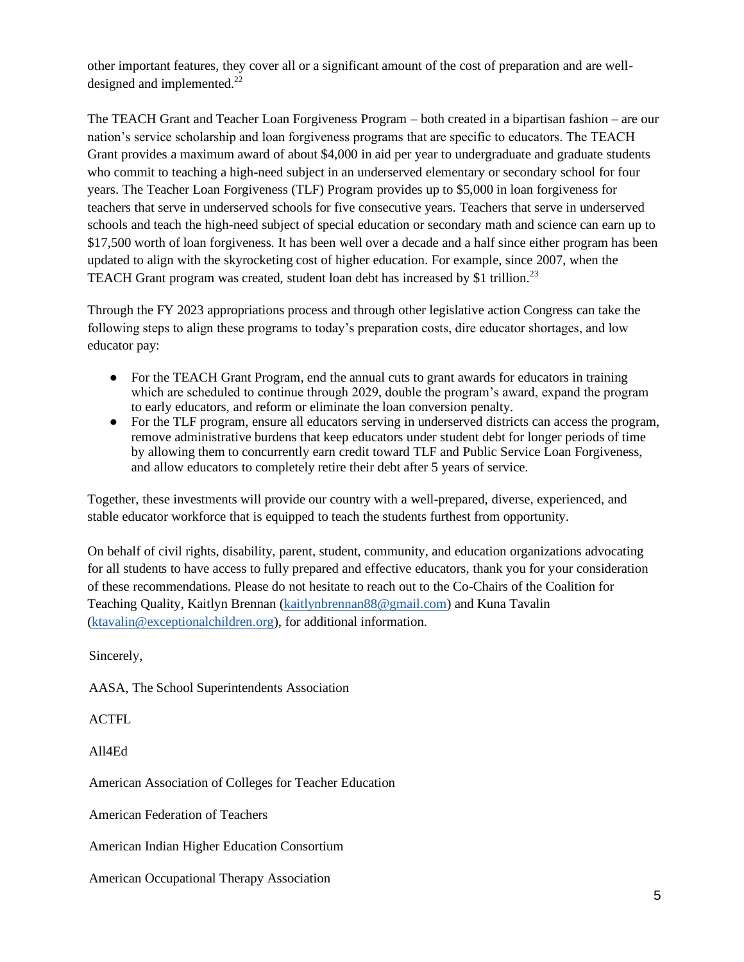other important features, they cover all or a significant amount of the cost of preparation and are welldesigned and implemented.<sup>22</sup>

The TEACH Grant and Teacher Loan Forgiveness Program – both created in a bipartisan fashion – are our nation's service scholarship and loan forgiveness programs that are specific to educators. The TEACH Grant provides a maximum award of about \$4,000 in aid per year to undergraduate and graduate students who commit to teaching a high-need subject in an underserved elementary or secondary school for four years. The Teacher Loan Forgiveness (TLF) Program provides up to \$5,000 in loan forgiveness for teachers that serve in underserved schools for five consecutive years. Teachers that serve in underserved schools and teach the high-need subject of special education or secondary math and science can earn up to \$17,500 worth of loan forgiveness. It has been well over a decade and a half since either program has been updated to align with the skyrocketing cost of higher education. For example, since 2007, when the TEACH Grant program was created, student loan debt has increased by \$1 trillion.<sup>23</sup>

Through the FY 2023 appropriations process and through other legislative action Congress can take the following steps to align these programs to today's preparation costs, dire educator shortages, and low educator pay:

- For the TEACH Grant Program, end the annual cuts to grant awards for educators in training which are scheduled to continue through 2029, double the program's award, expand the program to early educators, and reform or eliminate the loan conversion penalty.
- For the TLF program, ensure all educators serving in underserved districts can access the program, remove administrative burdens that keep educators under student debt for longer periods of time by allowing them to concurrently earn credit toward TLF and Public Service Loan Forgiveness, and allow educators to completely retire their debt after 5 years of service.

Together, these investments will provide our country with a well-prepared, diverse, experienced, and stable educator workforce that is equipped to teach the students furthest from opportunity.

On behalf of civil rights, disability, parent, student, community, and education organizations advocating for all students to have access to fully prepared and effective educators, thank you for your consideration of these recommendations. Please do not hesitate to reach out to the Co-Chairs of the Coalition for Teaching Quality, Kaitlyn Brennan [\(kaitlynbrennan88@gmail.com\)](mailto:kaitlynbrennan88@gmail.com) and Kuna Tavalin [\(ktavalin@exceptionalchildren.org\)](mailto:ktavalin@exceptionalchildren.org), for additional information.

Sincerely,

AASA, The School Superintendents Association

ACTFL

All4Ed

American Association of Colleges for Teacher Education

American Federation of Teachers

American Indian Higher Education Consortium

American Occupational Therapy Association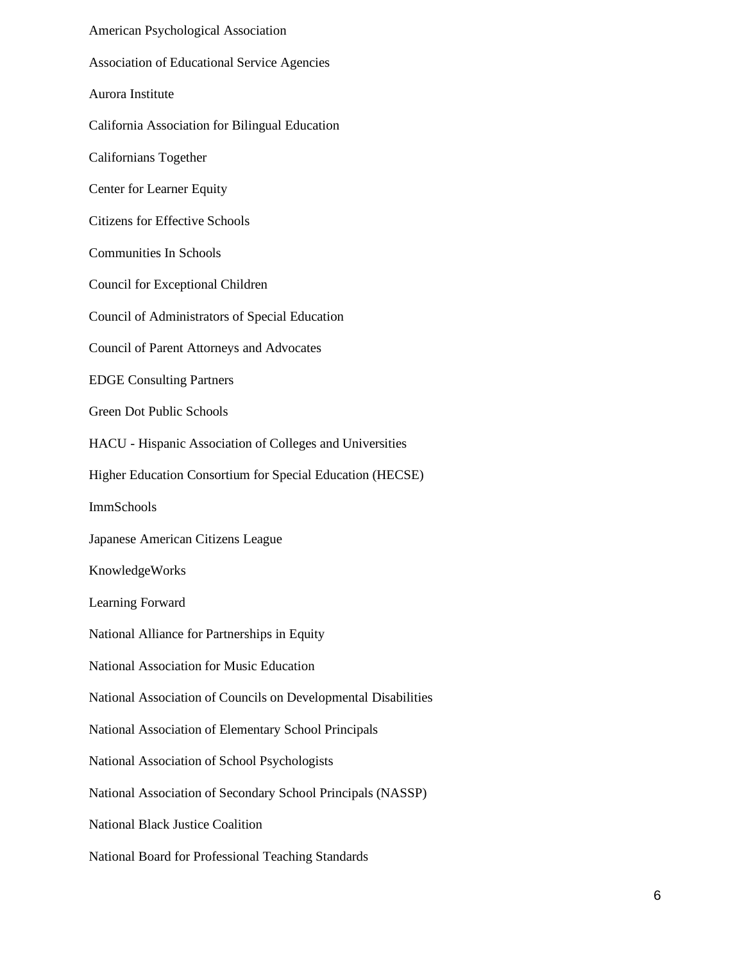American Psychological Association Association of Educational Service Agencies Aurora Institute California Association for Bilingual Education Californians Together Center for Learner Equity Citizens for Effective Schools Communities In Schools Council for Exceptional Children Council of Administrators of Special Education Council of Parent Attorneys and Advocates EDGE Consulting Partners Green Dot Public Schools HACU - Hispanic Association of Colleges and Universities Higher Education Consortium for Special Education (HECSE) ImmSchools Japanese American Citizens League KnowledgeWorks Learning Forward National Alliance for Partnerships in Equity National Association for Music Education National Association of Councils on Developmental Disabilities National Association of Elementary School Principals National Association of School Psychologists National Association of Secondary School Principals (NASSP) National Black Justice Coalition National Board for Professional Teaching Standards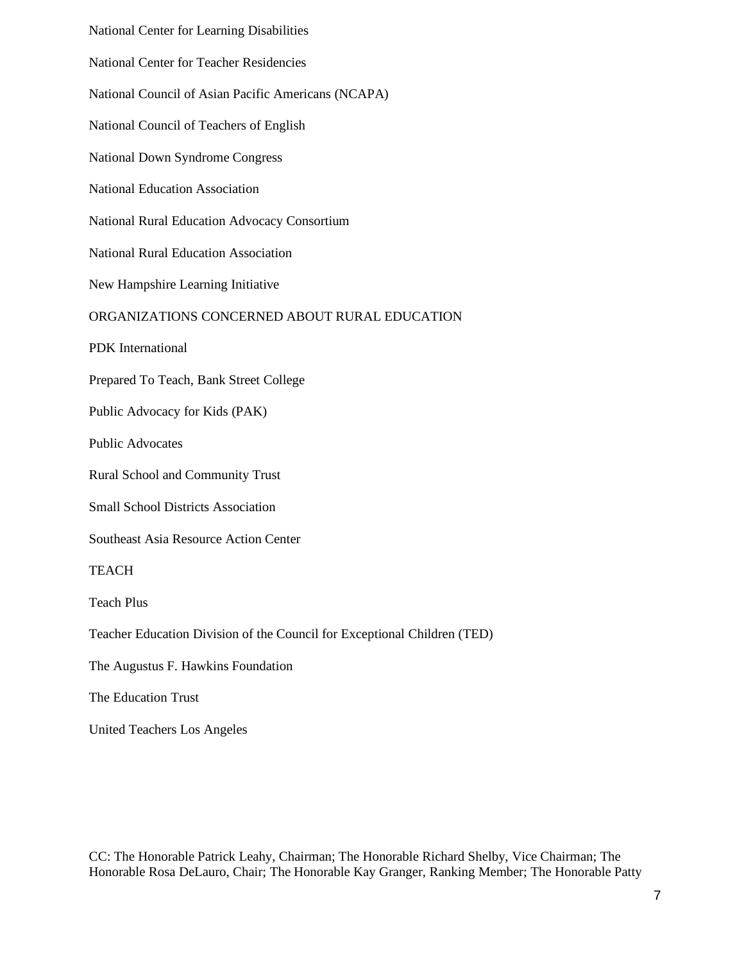National Center for Learning Disabilities National Center for Teacher Residencies National Council of Asian Pacific Americans (NCAPA) National Council of Teachers of English National Down Syndrome Congress National Education Association National Rural Education Advocacy Consortium National Rural Education Association New Hampshire Learning Initiative ORGANIZATIONS CONCERNED ABOUT RURAL EDUCATION PDK International Prepared To Teach, Bank Street College Public Advocacy for Kids (PAK) Public Advocates Rural School and Community Trust Small School Districts Association Southeast Asia Resource Action Center **TEACH** Teach Plus Teacher Education Division of the Council for Exceptional Children (TED) The Augustus F. Hawkins Foundation The Education Trust

United Teachers Los Angeles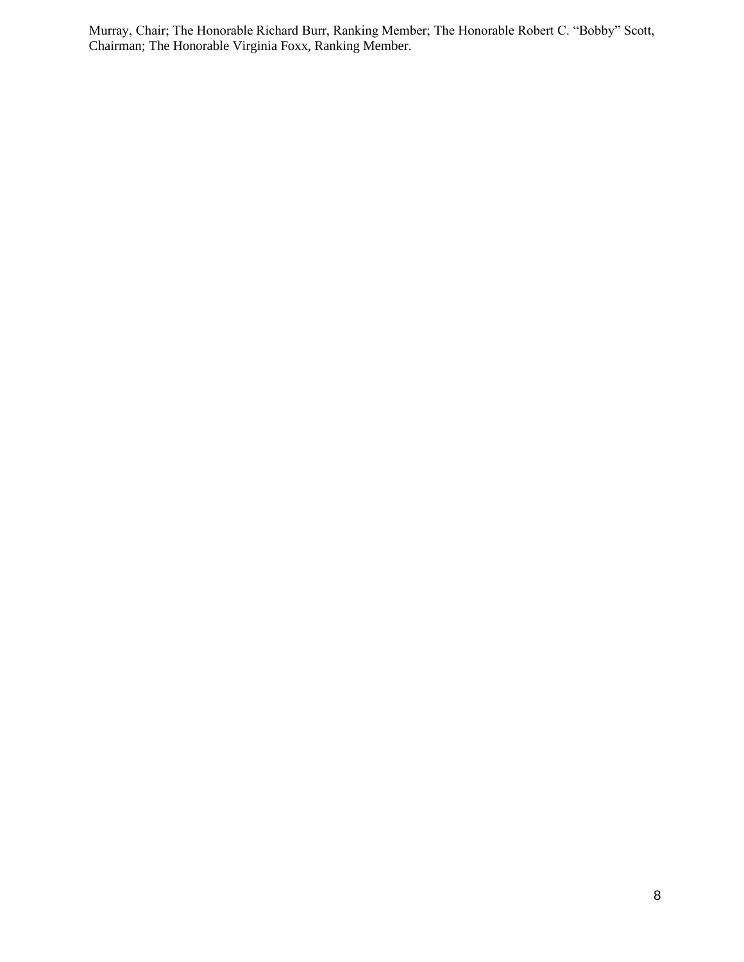Murray, Chair; The Honorable Richard Burr, Ranking Member; The Honorable Robert C. "Bobby" Scott, Chairman; The Honorable Virginia Foxx, Ranking Member.